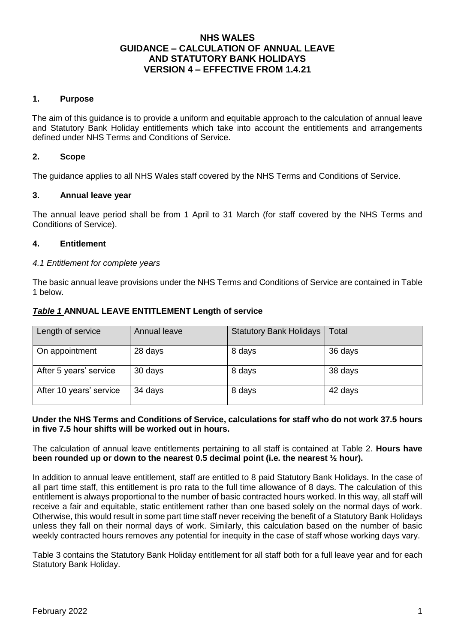# **NHS WALES GUIDANCE – CALCULATION OF ANNUAL LEAVE AND STATUTORY BANK HOLIDAYS VERSION 4 – EFFECTIVE FROM 1.4.21**

## **1. Purpose**

The aim of this guidance is to provide a uniform and equitable approach to the calculation of annual leave and Statutory Bank Holiday entitlements which take into account the entitlements and arrangements defined under NHS Terms and Conditions of Service.

# **2. Scope**

The guidance applies to all NHS Wales staff covered by the NHS Terms and Conditions of Service.

### **3. Annual leave year**

The annual leave period shall be from 1 April to 31 March (for staff covered by the NHS Terms and Conditions of Service).

### **4. Entitlement**

#### *4.1 Entitlement for complete years*

The basic annual leave provisions under the NHS Terms and Conditions of Service are contained in Table 1 below.

#### *Table 1* **ANNUAL LEAVE ENTITLEMENT Length of service**

| Length of service       | Annual leave | <b>Statutory Bank Holidays</b> | Total   |
|-------------------------|--------------|--------------------------------|---------|
| On appointment          | 28 days      | 8 days                         | 36 days |
| After 5 years' service  | 30 days      | 8 days                         | 38 days |
| After 10 years' service | 34 days      | 8 days                         | 42 days |

#### **Under the NHS Terms and Conditions of Service, calculations for staff who do not work 37.5 hours in five 7.5 hour shifts will be worked out in hours.**

The calculation of annual leave entitlements pertaining to all staff is contained at Table 2. **Hours have been rounded up or down to the nearest 0.5 decimal point (i.e. the nearest ½ hour).** 

In addition to annual leave entitlement, staff are entitled to 8 paid Statutory Bank Holidays. In the case of all part time staff, this entitlement is pro rata to the full time allowance of 8 days. The calculation of this entitlement is always proportional to the number of basic contracted hours worked. In this way, all staff will receive a fair and equitable, static entitlement rather than one based solely on the normal days of work. Otherwise, this would result in some part time staff never receiving the benefit of a Statutory Bank Holidays unless they fall on their normal days of work. Similarly, this calculation based on the number of basic weekly contracted hours removes any potential for inequity in the case of staff whose working days vary.

Table 3 contains the Statutory Bank Holiday entitlement for all staff both for a full leave year and for each Statutory Bank Holiday.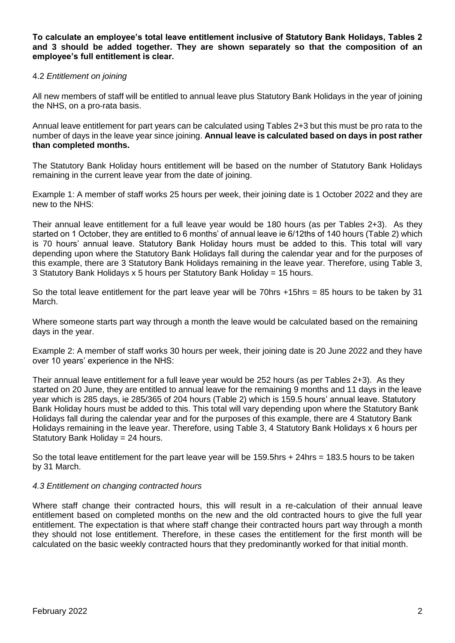**To calculate an employee's total leave entitlement inclusive of Statutory Bank Holidays, Tables 2 and 3 should be added together. They are shown separately so that the composition of an employee's full entitlement is clear.** 

### 4.2 *Entitlement on joining*

All new members of staff will be entitled to annual leave plus Statutory Bank Holidays in the year of joining the NHS, on a pro-rata basis.

Annual leave entitlement for part years can be calculated using Tables 2+3 but this must be pro rata to the number of days in the leave year since joining. **Annual leave is calculated based on days in post rather than completed months.** 

The Statutory Bank Holiday hours entitlement will be based on the number of Statutory Bank Holidays remaining in the current leave year from the date of joining.

Example 1: A member of staff works 25 hours per week, their joining date is 1 October 2022 and they are new to the NHS:

Their annual leave entitlement for a full leave year would be 180 hours (as per Tables 2+3). As they started on 1 October, they are entitled to 6 months' of annual leave ie 6/12ths of 140 hours (Table 2) which is 70 hours' annual leave. Statutory Bank Holiday hours must be added to this. This total will vary depending upon where the Statutory Bank Holidays fall during the calendar year and for the purposes of this example, there are 3 Statutory Bank Holidays remaining in the leave year. Therefore, using Table 3, 3 Statutory Bank Holidays x 5 hours per Statutory Bank Holiday = 15 hours.

So the total leave entitlement for the part leave year will be 70hrs +15hrs = 85 hours to be taken by 31 March.

Where someone starts part way through a month the leave would be calculated based on the remaining days in the year.

Example 2: A member of staff works 30 hours per week, their joining date is 20 June 2022 and they have over 10 years' experience in the NHS:

Their annual leave entitlement for a full leave year would be 252 hours (as per Tables 2+3). As they started on 20 June, they are entitled to annual leave for the remaining 9 months and 11 days in the leave year which is 285 days, ie 285/365 of 204 hours (Table 2) which is 159.5 hours' annual leave. Statutory Bank Holiday hours must be added to this. This total will vary depending upon where the Statutory Bank Holidays fall during the calendar year and for the purposes of this example, there are 4 Statutory Bank Holidays remaining in the leave year. Therefore, using Table 3, 4 Statutory Bank Holidays x 6 hours per Statutory Bank Holiday = 24 hours.

So the total leave entitlement for the part leave year will be 159.5hrs + 24hrs = 183.5 hours to be taken by 31 March.

### *4.3 Entitlement on changing contracted hours*

Where staff change their contracted hours, this will result in a re-calculation of their annual leave entitlement based on completed months on the new and the old contracted hours to give the full year entitlement. The expectation is that where staff change their contracted hours part way through a month they should not lose entitlement. Therefore, in these cases the entitlement for the first month will be calculated on the basic weekly contracted hours that they predominantly worked for that initial month.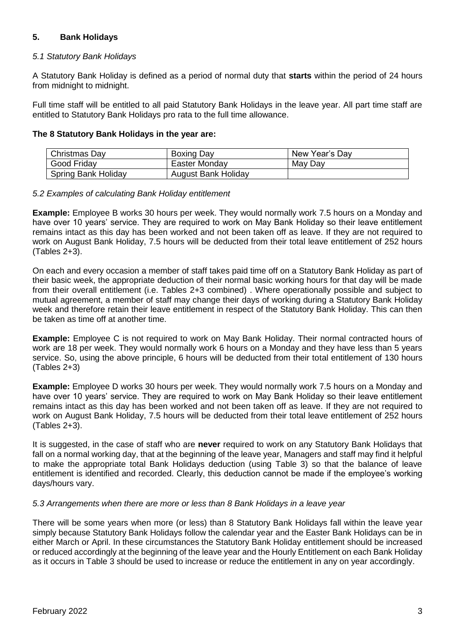# **5. Bank Holidays**

## *5.1 Statutory Bank Holidays*

A Statutory Bank Holiday is defined as a period of normal duty that **starts** within the period of 24 hours from midnight to midnight.

Full time staff will be entitled to all paid Statutory Bank Holidays in the leave year. All part time staff are entitled to Statutory Bank Holidays pro rata to the full time allowance.

### **The 8 Statutory Bank Holidays in the year are:**

| Christmas Day              | <b>Boxing Day</b>   | New Year's Day |
|----------------------------|---------------------|----------------|
| Good Friday                | Easter Monday       | May Day        |
| <b>Spring Bank Holiday</b> | August Bank Holiday |                |

#### *5.2 Examples of calculating Bank Holiday entitlement*

**Example:** Employee B works 30 hours per week. They would normally work 7.5 hours on a Monday and have over 10 years' service. They are required to work on May Bank Holiday so their leave entitlement remains intact as this day has been worked and not been taken off as leave. If they are not required to work on August Bank Holiday, 7.5 hours will be deducted from their total leave entitlement of 252 hours  $(Tables 2+3)$ .

On each and every occasion a member of staff takes paid time off on a Statutory Bank Holiday as part of their basic week, the appropriate deduction of their normal basic working hours for that day will be made from their overall entitlement (i.e. Tables 2+3 combined) . Where operationally possible and subject to mutual agreement, a member of staff may change their days of working during a Statutory Bank Holiday week and therefore retain their leave entitlement in respect of the Statutory Bank Holiday. This can then be taken as time off at another time.

**Example:** Employee C is not required to work on May Bank Holiday. Their normal contracted hours of work are 18 per week. They would normally work 6 hours on a Monday and they have less than 5 years service. So, using the above principle, 6 hours will be deducted from their total entitlement of 130 hours (Tables 2+3)

**Example:** Employee D works 30 hours per week. They would normally work 7.5 hours on a Monday and have over 10 years' service. They are required to work on May Bank Holiday so their leave entitlement remains intact as this day has been worked and not been taken off as leave. If they are not required to work on August Bank Holiday, 7.5 hours will be deducted from their total leave entitlement of 252 hours (Tables 2+3).

It is suggested, in the case of staff who are **never** required to work on any Statutory Bank Holidays that fall on a normal working day, that at the beginning of the leave year, Managers and staff may find it helpful to make the appropriate total Bank Holidays deduction (using Table 3) so that the balance of leave entitlement is identified and recorded. Clearly, this deduction cannot be made if the employee's working days/hours vary.

### *5.3 Arrangements when there are more or less than 8 Bank Holidays in a leave year*

There will be some years when more (or less) than 8 Statutory Bank Holidays fall within the leave year simply because Statutory Bank Holidays follow the calendar year and the Easter Bank Holidays can be in either March or April. In these circumstances the Statutory Bank Holiday entitlement should be increased or reduced accordingly at the beginning of the leave year and the Hourly Entitlement on each Bank Holiday as it occurs in Table 3 should be used to increase or reduce the entitlement in any on year accordingly.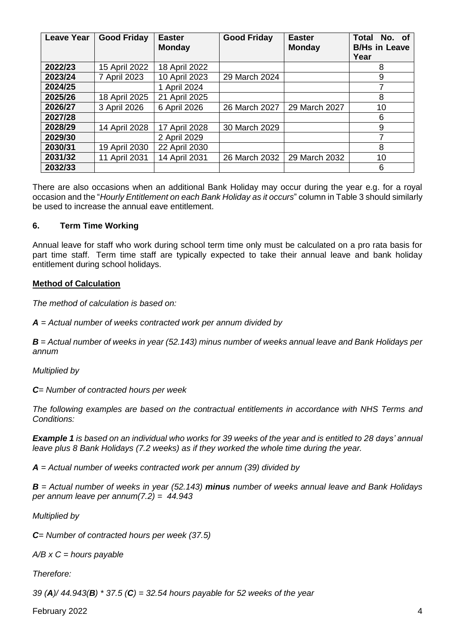| <b>Leave Year</b> | <b>Good Friday</b> | <b>Easter</b><br><b>Monday</b> | <b>Good Friday</b> | <b>Easter</b><br><b>Monday</b> | <b>Total</b><br>No. of<br><b>B/Hs in Leave</b><br>Year |
|-------------------|--------------------|--------------------------------|--------------------|--------------------------------|--------------------------------------------------------|
| 2022/23           | 15 April 2022      | 18 April 2022                  |                    |                                | 8                                                      |
| 2023/24           | 7 April 2023       | 10 April 2023                  | 29 March 2024      |                                | 9                                                      |
| 2024/25           |                    | 1 April 2024                   |                    |                                | 7                                                      |
| 2025/26           | 18 April 2025      | 21 April 2025                  |                    |                                | 8                                                      |
| 2026/27           | 3 April 2026       | 6 April 2026                   | 26 March 2027      | 29 March 2027                  | 10                                                     |
| 2027/28           |                    |                                |                    |                                | 6                                                      |
| 2028/29           | 14 April 2028      | 17 April 2028                  | 30 March 2029      |                                | 9                                                      |
| 2029/30           |                    | 2 April 2029                   |                    |                                | 7                                                      |
| 2030/31           | 19 April 2030      | 22 April 2030                  |                    |                                | 8                                                      |
| 2031/32           | 11 April 2031      | 14 April 2031                  | 26 March 2032      | 29 March 2032                  | 10                                                     |
| 2032/33           |                    |                                |                    |                                | 6                                                      |

There are also occasions when an additional Bank Holiday may occur during the year e.g. for a royal occasion and the "*Hourly Entitlement on each Bank Holiday as it occurs*" column in Table 3 should similarly be used to increase the annual eave entitlement.

# **6. Term Time Working**

Annual leave for staff who work during school term time only must be calculated on a pro rata basis for part time staff. Term time staff are typically expected to take their annual leave and bank holiday entitlement during school holidays.

# **Method of Calculation**

*The method of calculation is based on:*

*A = Actual number of weeks contracted work per annum divided by*

*B = Actual number of weeks in year (52.143) minus number of weeks annual leave and Bank Holidays per annum*

*Multiplied by*

*C= Number of contracted hours per week*

*The following examples are based on the contractual entitlements in accordance with NHS Terms and Conditions:*

*Example 1 is based on an individual who works for 39 weeks of the year and is entitled to 28 days' annual leave plus 8 Bank Holidays (7.2 weeks) as if they worked the whole time during the year.*

*A = Actual number of weeks contracted work per annum (39) divided by*

*B = Actual number of weeks in year (52.143) minus number of weeks annual leave and Bank Holidays per annum leave per annum(7.2) = 44.943*

*Multiplied by*

*C= Number of contracted hours per week (37.5)*

*A/B x C = hours payable*

# *Therefore:*

*39 (A)/ 44.943(B) \* 37.5 (C) = 32.54 hours payable for 52 weeks of the year*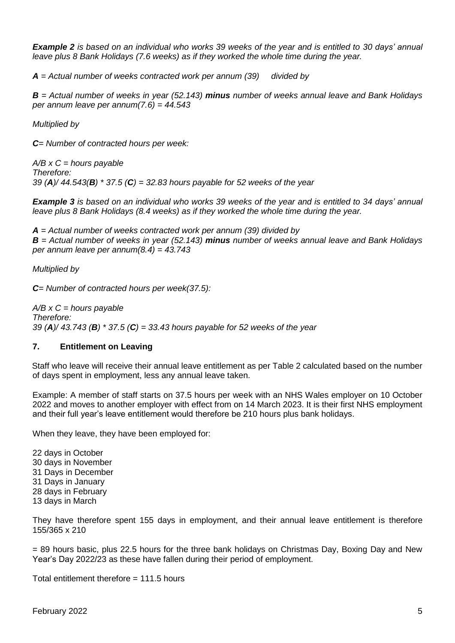*Example 2 is based on an individual who works 39 weeks of the year and is entitled to 30 days' annual leave plus 8 Bank Holidays (7.6 weeks) as if they worked the whole time during the year.*

*A = Actual number of weeks contracted work per annum (39) divided by*

*B = Actual number of weeks in year (52.143) minus number of weeks annual leave and Bank Holidays per annum leave per annum(7.6) = 44.543*

*Multiplied by*

*C= Number of contracted hours per week:*

*A/B x C = hours payable Therefore: 39 (A)/ 44.543(B) \* 37.5 (C) = 32.83 hours payable for 52 weeks of the year*

*Example 3 is based on an individual who works 39 weeks of the year and is entitled to 34 days' annual leave plus 8 Bank Holidays (8.4 weeks) as if they worked the whole time during the year.*

*A = Actual number of weeks contracted work per annum (39) divided by B = Actual number of weeks in year (52.143) minus number of weeks annual leave and Bank Holidays per annum leave per annum(8.4) = 43.743*

*Multiplied by*

*C= Number of contracted hours per week(37.5):*

*A/B x C = hours payable Therefore: 39 (A)/ 43.743 (B) \* 37.5 (C) = 33.43 hours payable for 52 weeks of the year*

#### **7. Entitlement on Leaving**

Staff who leave will receive their annual leave entitlement as per Table 2 calculated based on the number of days spent in employment, less any annual leave taken.

Example: A member of staff starts on 37.5 hours per week with an NHS Wales employer on 10 October 2022 and moves to another employer with effect from on 14 March 2023. It is their first NHS employment and their full year's leave entitlement would therefore be 210 hours plus bank holidays.

When they leave, they have been employed for:

22 days in October 30 days in November 31 Days in December 31 Days in January 28 days in February 13 days in March

They have therefore spent 155 days in employment, and their annual leave entitlement is therefore 155/365 x 210

= 89 hours basic, plus 22.5 hours for the three bank holidays on Christmas Day, Boxing Day and New Year's Day 2022/23 as these have fallen during their period of employment.

Total entitlement therefore = 111.5 hours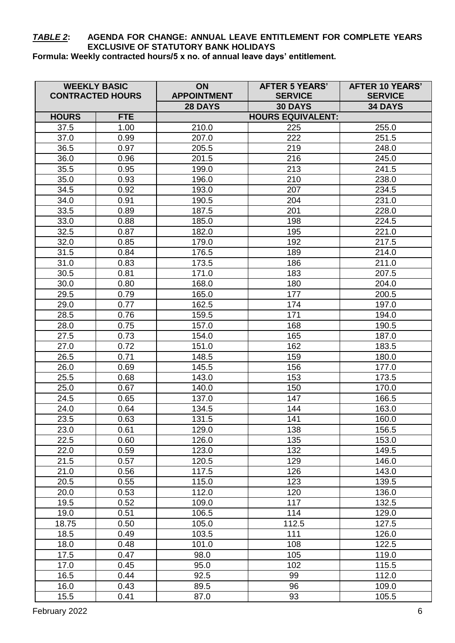# *TABLE 2***: AGENDA FOR CHANGE: ANNUAL LEAVE ENTITLEMENT FOR COMPLETE YEARS EXCLUSIVE OF STATUTORY BANK HOLIDAYS**

**Formula: Weekly contracted hours/5 x no. of annual leave days' entitlement.**

|               | <b>WEEKLY BASIC</b><br><b>CONTRACTED HOURS</b> | ON<br><b>APPOINTMENT</b> | <b>AFTER 5 YEARS'</b><br><b>SERVICE</b> | <b>AFTER 10 YEARS'</b><br><b>SERVICE</b> |
|---------------|------------------------------------------------|--------------------------|-----------------------------------------|------------------------------------------|
|               |                                                | 28 DAYS                  | <b>30 DAYS</b>                          | <b>34 DAYS</b>                           |
| <b>HOURS</b>  | <b>FTE</b>                                     |                          | <b>HOURS EQUIVALENT:</b>                |                                          |
| 37.5          | 1.00                                           | 210.0                    | 225                                     | 255.0                                    |
| 37.0          | 0.99                                           | 207.0                    | 222                                     | 251.5                                    |
| 36.5          | 0.97                                           | 205.5                    | 219                                     | 248.0                                    |
| 36.0          | 0.96                                           | 201.5                    | 216                                     | 245.0                                    |
| 35.5          | 0.95                                           | 199.0                    | 213                                     | 241.5                                    |
| 35.0          | 0.93                                           | 196.0                    | 210                                     | 238.0                                    |
| 34.5          | 0.92                                           | 193.0                    | 207                                     | 234.5                                    |
| 34.0          | 0.91                                           | 190.5                    | 204                                     | 231.0                                    |
| 33.5          | 0.89                                           | 187.5                    | 201                                     | 228.0                                    |
| 33.0          | 0.88                                           | 185.0                    | 198                                     | 224.5                                    |
| 32.5          | 0.87                                           | 182.0                    | 195                                     | 221.0                                    |
| 32.0          | 0.85                                           | 179.0                    | 192                                     | 217.5                                    |
| 31.5          | 0.84                                           | 176.5                    | 189                                     | 214.0                                    |
| 31.0          | 0.83                                           | 173.5                    | 186                                     | 211.0                                    |
| 30.5          | 0.81                                           | 171.0                    | 183                                     | 207.5                                    |
| 30.0          | 0.80                                           | 168.0                    | 180                                     | 204.0                                    |
| 29.5          | 0.79                                           | 165.0                    | 177                                     | 200.5                                    |
| 29.0          | 0.77                                           | 162.5                    | 174                                     | 197.0                                    |
| 28.5          | 0.76                                           | 159.5                    | 171                                     | 194.0                                    |
| 28.0          | 0.75                                           | 157.0                    | 168                                     | 190.5                                    |
| 27.5          | 0.73                                           | 154.0                    | 165                                     | 187.0                                    |
| 27.0          | 0.72                                           | 151.0                    | 162                                     | 183.5                                    |
| 26.5          | 0.71                                           | 148.5                    | 159                                     | 180.0                                    |
| 26.0          | 0.69                                           | 145.5                    | 156                                     | 177.0                                    |
| 25.5          | 0.68                                           | 143.0                    | 153                                     | 173.5                                    |
|               |                                                |                          | 150                                     |                                          |
| 25.0<br>24.5  | 0.67<br>0.65                                   | 140.0<br>137.0           | 147                                     | 170.0<br>166.5                           |
|               |                                                |                          | 144                                     |                                          |
| 24.0          | 0.64                                           | 134.5                    |                                         | 163.0                                    |
| 23.5<br>23.0  | 0.63<br>0.61                                   | 131.5                    | 141<br>138                              | 160.0                                    |
| 22.5          | 0.60                                           | 129.0<br>126.0           | 135                                     | 156.5<br>153.0                           |
|               | 0.59                                           | 123.0                    | 132                                     | 149.5                                    |
| 22.0<br>21.5  | 0.57                                           | 120.5                    | 129                                     | 146.0                                    |
| 21.0          | 0.56                                           | 117.5                    | 126                                     | 143.0                                    |
| 20.5          | 0.55                                           | 115.0                    | 123                                     | 139.5                                    |
| 20.0          | 0.53                                           | 112.0                    | 120                                     | 136.0                                    |
| 19.5          | 0.52                                           | 109.0                    | 117                                     | 132.5                                    |
|               |                                                |                          |                                         |                                          |
| 19.0<br>18.75 | 0.51                                           | 106.5                    | 114                                     | 129.0                                    |
| 18.5          | 0.50<br>0.49                                   | 105.0<br>103.5           | 112.5<br>111                            | 127.5<br>126.0                           |
|               |                                                |                          |                                         |                                          |
| 18.0          | 0.48<br>0.47                                   | 101.0                    | 108                                     | 122.5                                    |
| 17.5          |                                                | 98.0                     | 105                                     | 119.0                                    |
| 17.0          | 0.45                                           | 95.0                     | 102                                     | 115.5                                    |
| 16.5<br>16.0  | 0.44<br>0.43                                   | 92.5<br>89.5             | 99<br>96                                | 112.0<br>109.0                           |
| 15.5          | 0.41                                           | 87.0                     | 93                                      | 105.5                                    |
|               |                                                |                          |                                         |                                          |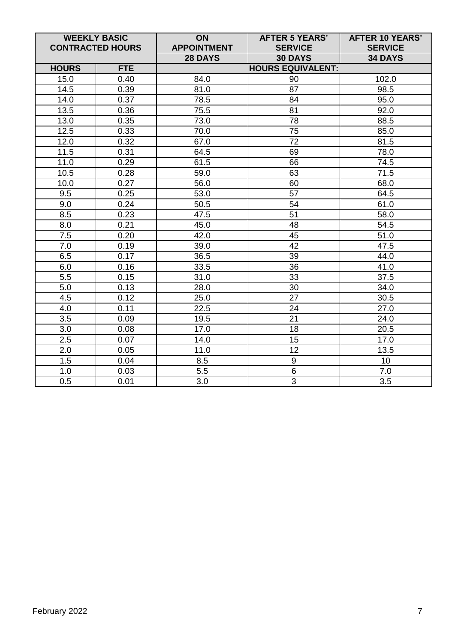| <b>WEEKLY BASIC</b><br><b>CONTRACTED HOURS</b> |            | ON<br><b>APPOINTMENT</b>  | <b>AFTER 5 YEARS'</b><br><b>SERVICE</b> | <b>AFTER 10 YEARS'</b><br><b>SERVICE</b> |
|------------------------------------------------|------------|---------------------------|-----------------------------------------|------------------------------------------|
|                                                |            | 28 DAYS<br><b>30 DAYS</b> |                                         | <b>34 DAYS</b>                           |
| <b>HOURS</b>                                   | <b>FTE</b> | <b>HOURS EQUIVALENT:</b>  |                                         |                                          |
| 15.0                                           | 0.40       | 84.0                      | 90                                      | 102.0                                    |
| 14.5                                           | 0.39       | 81.0                      | 87                                      | 98.5                                     |
| 14.0                                           | 0.37       | 78.5                      | 84                                      | 95.0                                     |
| 13.5                                           | 0.36       | 75.5                      | 81                                      | 92.0                                     |
| 13.0                                           | 0.35       | 73.0                      | 78                                      | 88.5                                     |
| 12.5                                           | 0.33       | 70.0                      | 75                                      | 85.0                                     |
| 12.0                                           | 0.32       | 67.0                      | $\overline{72}$                         | 81.5                                     |
| 11.5                                           | 0.31       | 64.5                      | 69                                      | 78.0                                     |
| 11.0                                           | 0.29       | 61.5                      | 66                                      | 74.5                                     |
| 10.5                                           | 0.28       | 59.0                      | 63                                      | 71.5                                     |
| 10.0                                           | 0.27       | 56.0                      | 60                                      | 68.0                                     |
| 9.5                                            | 0.25       | 53.0                      | $\overline{57}$                         | 64.5                                     |
| 9.0                                            | 0.24       | 50.5                      | 54                                      | 61.0                                     |
| 8.5                                            | 0.23       | 47.5                      | 51                                      | 58.0                                     |
| 8.0                                            | 0.21       | 45.0                      | 48                                      | 54.5                                     |
| 7.5                                            | 0.20       | 42.0                      | 45                                      | 51.0                                     |
| 7.0                                            | 0.19       | 39.0                      | 42                                      | 47.5                                     |
| 6.5                                            | 0.17       | 36.5                      | 39                                      | 44.0                                     |
| 6.0                                            | 0.16       | 33.5                      | 36                                      | 41.0                                     |
| 5.5                                            | 0.15       | 31.0                      | 33                                      | 37.5                                     |
| 5.0                                            | 0.13       | 28.0                      | 30                                      | 34.0                                     |
| 4.5                                            | 0.12       | 25.0                      | 27                                      | 30.5                                     |
| 4.0                                            | 0.11       | 22.5                      | 24                                      | 27.0                                     |
| 3.5                                            | 0.09       | 19.5                      | 21                                      | 24.0                                     |
| 3.0                                            | 0.08       | 17.0                      | 18                                      | 20.5                                     |
| 2.5                                            | 0.07       | 14.0                      | 15                                      | 17.0                                     |
| 2.0                                            | 0.05       | 11.0                      | 12                                      | 13.5                                     |
| 1.5                                            | 0.04       | 8.5                       | $\boldsymbol{9}$                        | 10                                       |
| 1.0                                            | 0.03       | 5.5                       | $6\phantom{1}$                          | 7.0                                      |
| 0.5                                            | 0.01       | 3.0                       | 3                                       | 3.5                                      |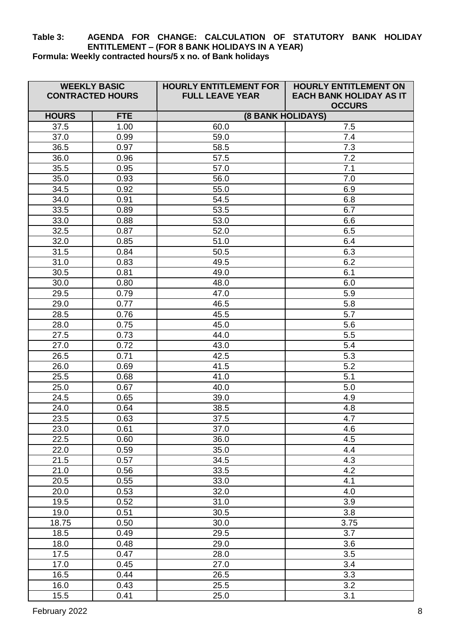## **Table 3: AGENDA FOR CHANGE: CALCULATION OF STATUTORY BANK HOLIDAY ENTITLEMENT – (FOR 8 BANK HOLIDAYS IN A YEAR) Formula: Weekly contracted hours/5 x no. of Bank holidays**

| <b>WEEKLY BASIC</b><br><b>CONTRACTED HOURS</b> |            | <b>HOURLY ENTITLEMENT FOR</b><br><b>FULL LEAVE YEAR</b> | <b>HOURLY ENTITLEMENT ON</b><br><b>EACH BANK HOLIDAY AS IT</b><br><b>OCCURS</b> |  |
|------------------------------------------------|------------|---------------------------------------------------------|---------------------------------------------------------------------------------|--|
| <b>HOURS</b>                                   | <b>FTE</b> | <b>(8 BANK HOLIDAYS)</b>                                |                                                                                 |  |
| 37.5                                           | 1.00       | 60.0                                                    | 7.5                                                                             |  |
| 37.0                                           | 0.99       | 59.0                                                    | 7.4                                                                             |  |
| 36.5                                           | 0.97       | 58.5                                                    | 7.3                                                                             |  |
| 36.0                                           | 0.96       | 57.5                                                    | 7.2                                                                             |  |
| 35.5                                           | 0.95       | 57.0                                                    | 7.1                                                                             |  |
| 35.0                                           | 0.93       | 56.0                                                    | 7.0                                                                             |  |
| 34.5                                           | 0.92       | 55.0                                                    | 6.9                                                                             |  |
| 34.0                                           | 0.91       | 54.5                                                    | 6.8                                                                             |  |
| 33.5                                           | 0.89       | 53.5                                                    | 6.7                                                                             |  |
| 33.0                                           | 0.88       | 53.0                                                    | 6.6                                                                             |  |
| 32.5                                           | 0.87       | 52.0                                                    | 6.5                                                                             |  |
| 32.0                                           | 0.85       | 51.0                                                    | 6.4                                                                             |  |
| 31.5                                           | 0.84       | 50.5                                                    | 6.3                                                                             |  |
| 31.0                                           | 0.83       | 49.5                                                    | 6.2                                                                             |  |
| 30.5                                           | 0.81       | 49.0                                                    | 6.1                                                                             |  |
| 30.0                                           | 0.80       | 48.0                                                    | 6.0                                                                             |  |
| 29.5                                           | 0.79       | 47.0                                                    | 5.9                                                                             |  |
| 29.0                                           | 0.77       | 46.5                                                    | 5.8                                                                             |  |
| 28.5                                           | 0.76       | 45.5                                                    | 5.7                                                                             |  |
| 28.0                                           | 0.75       | 45.0                                                    | 5.6                                                                             |  |
| 27.5                                           | 0.73       | 44.0                                                    | 5.5                                                                             |  |
| 27.0                                           | 0.72       | 43.0                                                    | 5.4                                                                             |  |
| 26.5                                           | 0.71       | 42.5                                                    | 5.3                                                                             |  |
| 26.0                                           | 0.69       | 41.5                                                    | 5.2                                                                             |  |
| 25.5                                           | 0.68       | 41.0                                                    | 5.1                                                                             |  |
| 25.0                                           | 0.67       | 40.0                                                    | 5.0                                                                             |  |
| 24.5                                           | 0.65       | 39.0                                                    | 4.9                                                                             |  |
| 24.0                                           | 0.64       | 38.5                                                    | 4.8                                                                             |  |
| 23.5                                           | 0.63       | 37.5                                                    | 4.7                                                                             |  |
| 23.0                                           | 0.61       | 37.0                                                    | 4.6                                                                             |  |
| 22.5                                           | 0.60       | 36.0                                                    | 4.5                                                                             |  |
| 22.0                                           | 0.59       | 35.0                                                    | 4.4                                                                             |  |
| 21.5                                           | 0.57       | 34.5                                                    | 4.3                                                                             |  |
| 21.0                                           | 0.56       | 33.5                                                    | 4.2                                                                             |  |
| 20.5                                           | 0.55       | 33.0                                                    | 4.1                                                                             |  |
| 20.0                                           | 0.53       | 32.0                                                    | 4.0                                                                             |  |
| 19.5                                           | 0.52       | 31.0                                                    | 3.9                                                                             |  |
| 19.0                                           | 0.51       | 30.5                                                    | 3.8                                                                             |  |
| 18.75                                          | 0.50       | 30.0                                                    | 3.75                                                                            |  |
| 18.5                                           | 0.49       | 29.5                                                    | 3.7                                                                             |  |
| 18.0                                           | 0.48       | 29.0                                                    | 3.6                                                                             |  |
| 17.5                                           | 0.47       | 28.0                                                    | 3.5                                                                             |  |
| 17.0                                           | 0.45       | 27.0                                                    | 3.4                                                                             |  |
| 16.5                                           | 0.44       | 26.5                                                    | 3.3                                                                             |  |
| 16.0                                           | 0.43       | 25.5                                                    | 3.2                                                                             |  |
| 15.5                                           | 0.41       | 25.0                                                    | 3.1                                                                             |  |